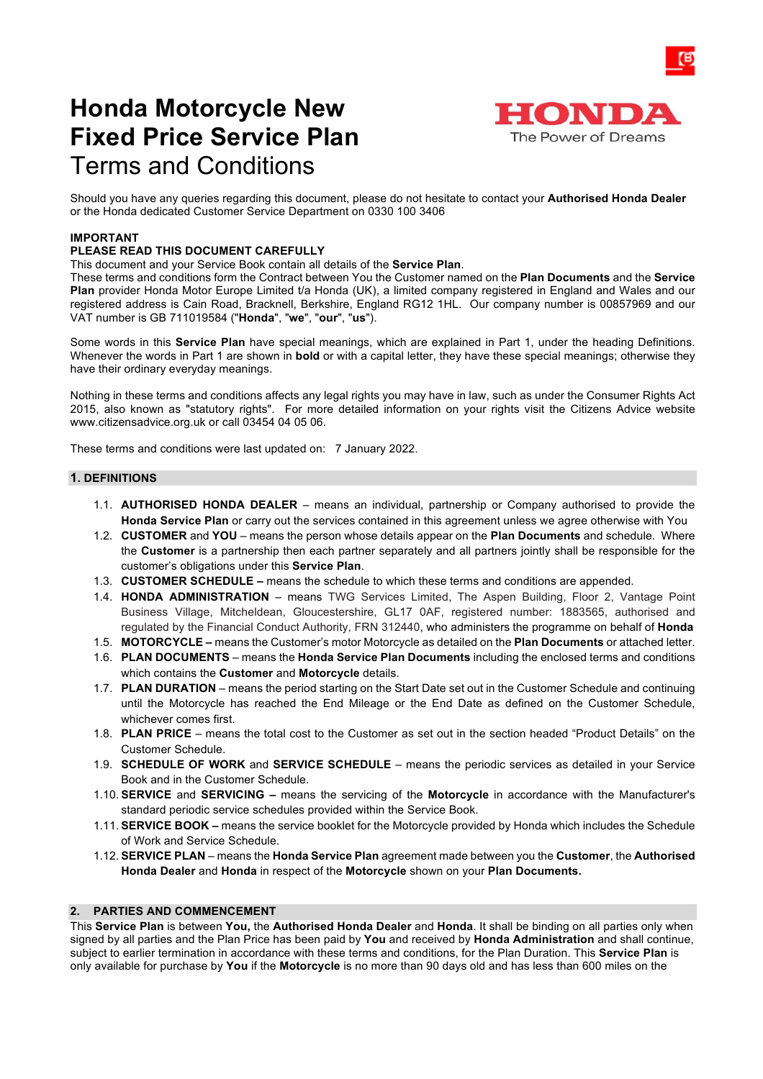# **Honda Motorcycle New Fixed Price Service Plan** Terms and Conditions



Should you have any queries regarding this document, please do not hesitate to contact your **Authorised Honda Dealer** or the Honda dedicated Customer Service Department on 0330 100 3406

## **IMPORTANT**

# **PLEASE READ THIS DOCUMENT CAREFULLY**

#### This document and your Service Book contain all details of the **Service Plan**.

These terms and conditions form the Contract between You the Customer named on the **Plan Documents** and the **Service Plan** provider Honda Motor Europe Limited t/a Honda (UK), a limited company registered in England and Wales and our registered address is Cain Road, Bracknell, Berkshire, England RG12 1HL. Our company number is 00857969 and our VAT number is GB 711019584 ("**Honda**", "**we**", "**our**", "**us**").

Some words in this **Service Plan** have special meanings, which are explained in Part 1, under the heading Definitions. Whenever the words in Part 1 are shown in **bold** or with a capital letter, they have these special meanings; otherwise they have their ordinary everyday meanings.

Nothing in these terms and conditions affects any legal rights you may have in law, such as under the Consumer Rights Act 2015, also known as "statutory rights". For more detailed information on your rights visit the Citizens Advice website www.citizensadvice.org.uk or call 03454 04 05 06.

These terms and conditions were last updated on: 7 January 2022.

#### **1. DEFINITIONS**

- 1.1. **AUTHORISED HONDA DEALER** means an individual, partnership or Company authorised to provide the **Honda Service Plan** or carry out the services contained in this agreement unless we agree otherwise with You
- 1.2. **CUSTOMER** and **YOU**  means the person whose details appear on the **Plan Documents** and schedule. Where the **Customer** is a partnership then each partner separately and all partners jointly shall be responsible for the customer's obligations under this **Service Plan**.
- 1.3. **CUSTOMER SCHEDULE –** means the schedule to which these terms and conditions are appended.
- 1.4. **HONDA ADMINISTRATION**  means TWG Services Limited, The Aspen Building, Floor 2, Vantage Point Business Village, Mitcheldean, Gloucestershire, GL17 0AF, registered number: 1883565, authorised and regulated by the Financial Conduct Authority, FRN 312440, who administers the programme on behalf of **Honda**
- 1.5. **MOTORCYCLE –** means the Customer's motor Motorcycle as detailed on the **Plan Documents** or attached letter.
- 1.6. **PLAN DOCUMENTS**  means the **Honda Service Plan Documents** including the enclosed terms and conditions which contains the **Customer** and **Motorcycle** details.
- 1.7. **PLAN DURATION** means the period starting on the Start Date set out in the Customer Schedule and continuing until the Motorcycle has reached the End Mileage or the End Date as defined on the Customer Schedule, whichever comes first.
- 1.8. **PLAN PRICE** means the total cost to the Customer as set out in the section headed "Product Details" on the Customer Schedule.
- 1.9. **SCHEDULE OF WORK** and **SERVICE SCHEDULE** means the periodic services as detailed in your Service Book and in the Customer Schedule.
- 1.10. **SERVICE** and **SERVICING –** means the servicing of the **Motorcycle** in accordance with the Manufacturer's standard periodic service schedules provided within the Service Book.
- 1.11. **SERVICE BOOK –** means the service booklet for the Motorcycle provided by Honda which includes the Schedule of Work and Service Schedule.
- 1.12. **SERVICE PLAN** means the **Honda Service Plan** agreement made between you the **Customer**, the **Authorised Honda Dealer** and **Honda** in respect of the **Motorcycle** shown on your **Plan Documents.**

## **2. PARTIES AND COMMENCEMENT**

This **Service Plan** is between **You,** the **Authorised Honda Dealer** and **Honda**. It shall be binding on all parties only when signed by all parties and the Plan Price has been paid by **You** and received by **Honda Administration** and shall continue, subject to earlier termination in accordance with these terms and conditions, for the Plan Duration. This **Service Plan** is only available for purchase by **You** if the **Motorcycle** is no more than 90 days old and has less than 600 miles on the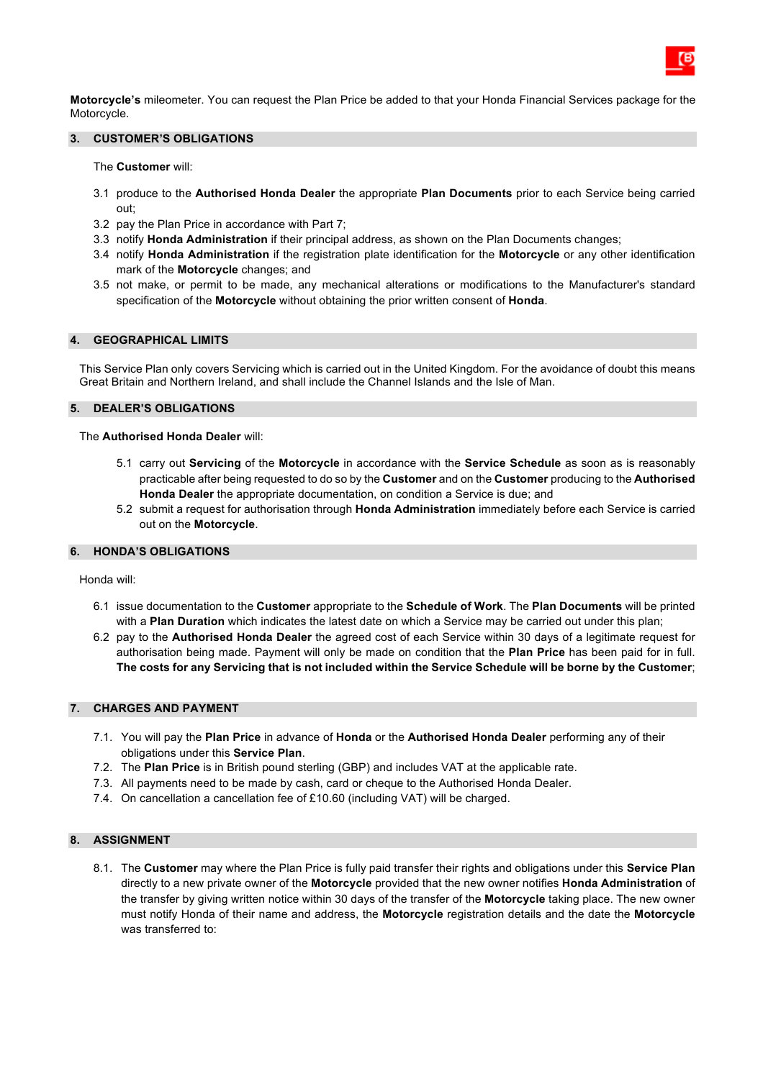**Motorcycle's** mileometer. You can request the Plan Price be added to that your Honda Financial Services package for the Motorcycle.

## **3. CUSTOMER'S OBLIGATIONS**

The **Customer** will:

- 3.1 produce to the **Authorised Honda Dealer** the appropriate **Plan Documents** prior to each Service being carried out;
- 3.2 pay the Plan Price in accordance with Part 7;
- 3.3 notify **Honda Administration** if their principal address, as shown on the Plan Documents changes;
- 3.4 notify **Honda Administration** if the registration plate identification for the **Motorcycle** or any other identification mark of the **Motorcycle** changes; and
- 3.5 not make, or permit to be made, any mechanical alterations or modifications to the Manufacturer's standard specification of the **Motorcycle** without obtaining the prior written consent of **Honda**.

#### **4. GEOGRAPHICAL LIMITS**

This Service Plan only covers Servicing which is carried out in the United Kingdom. For the avoidance of doubt this means Great Britain and Northern Ireland, and shall include the Channel Islands and the Isle of Man.

#### **5. DEALER'S OBLIGATIONS**

#### The **Authorised Honda Dealer** will:

- 5.1 carry out **Servicing** of the **Motorcycle** in accordance with the **Service Schedule** as soon as is reasonably practicable after being requested to do so by the **Customer** and on the **Customer** producing to the **Authorised Honda Dealer** the appropriate documentation, on condition a Service is due; and
- 5.2 submit a request for authorisation through **Honda Administration** immediately before each Service is carried out on the **Motorcycle**.

#### **6. HONDA'S OBLIGATIONS**

Honda will:

- 6.1 issue documentation to the **Customer** appropriate to the **Schedule of Work**. The **Plan Documents** will be printed with a **Plan Duration** which indicates the latest date on which a Service may be carried out under this plan;
- 6.2 pay to the **Authorised Honda Dealer** the agreed cost of each Service within 30 days of a legitimate request for authorisation being made. Payment will only be made on condition that the **Plan Price** has been paid for in full. **The costs for any Servicing that is not included within the Service Schedule will be borne by the Customer**;

#### **7. CHARGES AND PAYMENT**

- 7.1. You will pay the **Plan Price** in advance of **Honda** or the **Authorised Honda Dealer** performing any of their obligations under this **Service Plan**.
- 7.2. The **Plan Price** is in British pound sterling (GBP) and includes VAT at the applicable rate.
- 7.3. All payments need to be made by cash, card or cheque to the Authorised Honda Dealer.
- 7.4. On cancellation a cancellation fee of £10.60 (including VAT) will be charged.

## **8. ASSIGNMENT**

8.1. The **Customer** may where the Plan Price is fully paid transfer their rights and obligations under this **Service Plan** directly to a new private owner of the **Motorcycle** provided that the new owner notifies **Honda Administration** of the transfer by giving written notice within 30 days of the transfer of the **Motorcycle** taking place. The new owner must notify Honda of their name and address, the **Motorcycle** registration details and the date the **Motorcycle** was transferred to: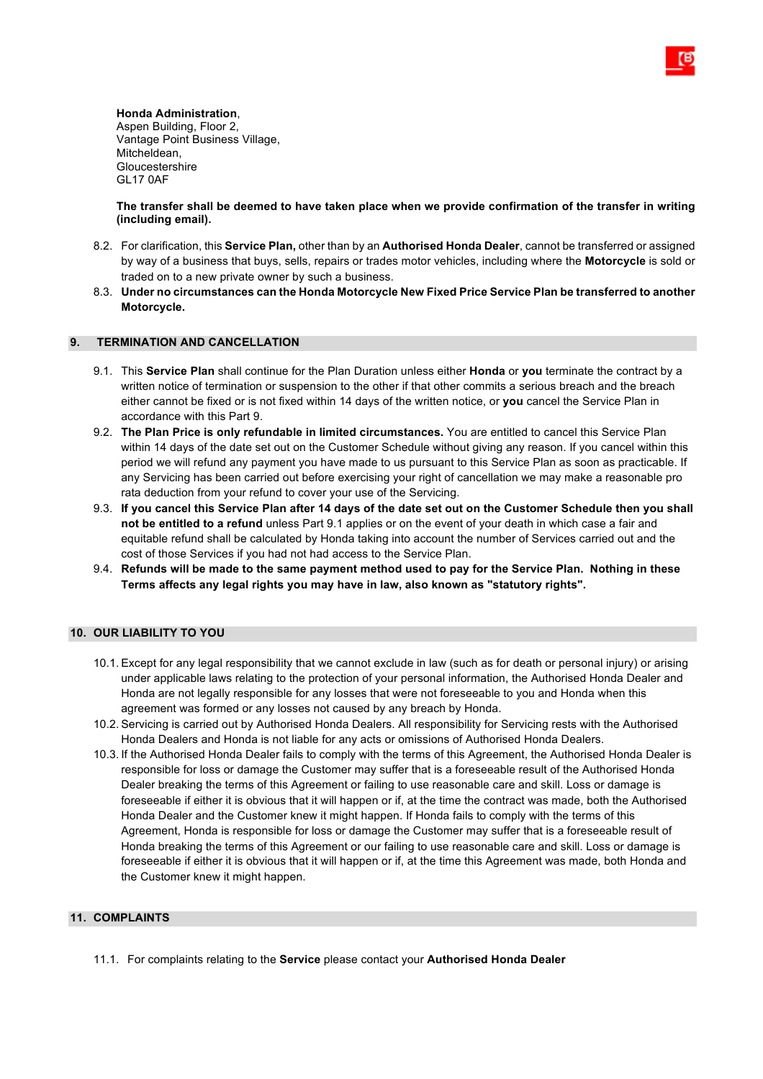**Honda Administration**, Aspen Building, Floor 2, Vantage Point Business Village, Mitcheldean, Gloucestershire GL17 0AF

**The transfer shall be deemed to have taken place when we provide confirmation of the transfer in writing (including email).**

- 8.2. For clarification, this **Service Plan,** other than by an **Authorised Honda Dealer**, cannot be transferred or assigned by way of a business that buys, sells, repairs or trades motor vehicles, including where the **Motorcycle** is sold or traded on to a new private owner by such a business.
- 8.3. **Under no circumstances can the Honda Motorcycle New Fixed Price Service Plan be transferred to another Motorcycle.**

# **9. TERMINATION AND CANCELLATION**

- 9.1. This **Service Plan** shall continue for the Plan Duration unless either **Honda** or **you** terminate the contract by a written notice of termination or suspension to the other if that other commits a serious breach and the breach either cannot be fixed or is not fixed within 14 days of the written notice, or **you** cancel the Service Plan in accordance with this Part 9.
- 9.2. **The Plan Price is only refundable in limited circumstances.** You are entitled to cancel this Service Plan within 14 days of the date set out on the Customer Schedule without giving any reason. If you cancel within this period we will refund any payment you have made to us pursuant to this Service Plan as soon as practicable. If any Servicing has been carried out before exercising your right of cancellation we may make a reasonable pro rata deduction from your refund to cover your use of the Servicing.
- 9.3. **If you cancel this Service Plan after 14 days of the date set out on the Customer Schedule then you shall not be entitled to a refund** unless Part 9.1 applies or on the event of your death in which case a fair and equitable refund shall be calculated by Honda taking into account the number of Services carried out and the cost of those Services if you had not had access to the Service Plan.
- 9.4. **Refunds will be made to the same payment method used to pay for the Service Plan. Nothing in these Terms affects any legal rights you may have in law, also known as "statutory rights".**

# **10. OUR LIABILITY TO YOU**

- 10.1. Except for any legal responsibility that we cannot exclude in law (such as for death or personal injury) or arising under applicable laws relating to the protection of your personal information, the Authorised Honda Dealer and Honda are not legally responsible for any losses that were not foreseeable to you and Honda when this agreement was formed or any losses not caused by any breach by Honda.
- 10.2. Servicing is carried out by Authorised Honda Dealers. All responsibility for Servicing rests with the Authorised Honda Dealers and Honda is not liable for any acts or omissions of Authorised Honda Dealers.
- 10.3. If the Authorised Honda Dealer fails to comply with the terms of this Agreement, the Authorised Honda Dealer is responsible for loss or damage the Customer may suffer that is a foreseeable result of the Authorised Honda Dealer breaking the terms of this Agreement or failing to use reasonable care and skill. Loss or damage is foreseeable if either it is obvious that it will happen or if, at the time the contract was made, both the Authorised Honda Dealer and the Customer knew it might happen. If Honda fails to comply with the terms of this Agreement, Honda is responsible for loss or damage the Customer may suffer that is a foreseeable result of Honda breaking the terms of this Agreement or our failing to use reasonable care and skill. Loss or damage is foreseeable if either it is obvious that it will happen or if, at the time this Agreement was made, both Honda and the Customer knew it might happen.

# **11. COMPLAINTS**

11.1. For complaints relating to the **Service** please contact your **Authorised Honda Dealer**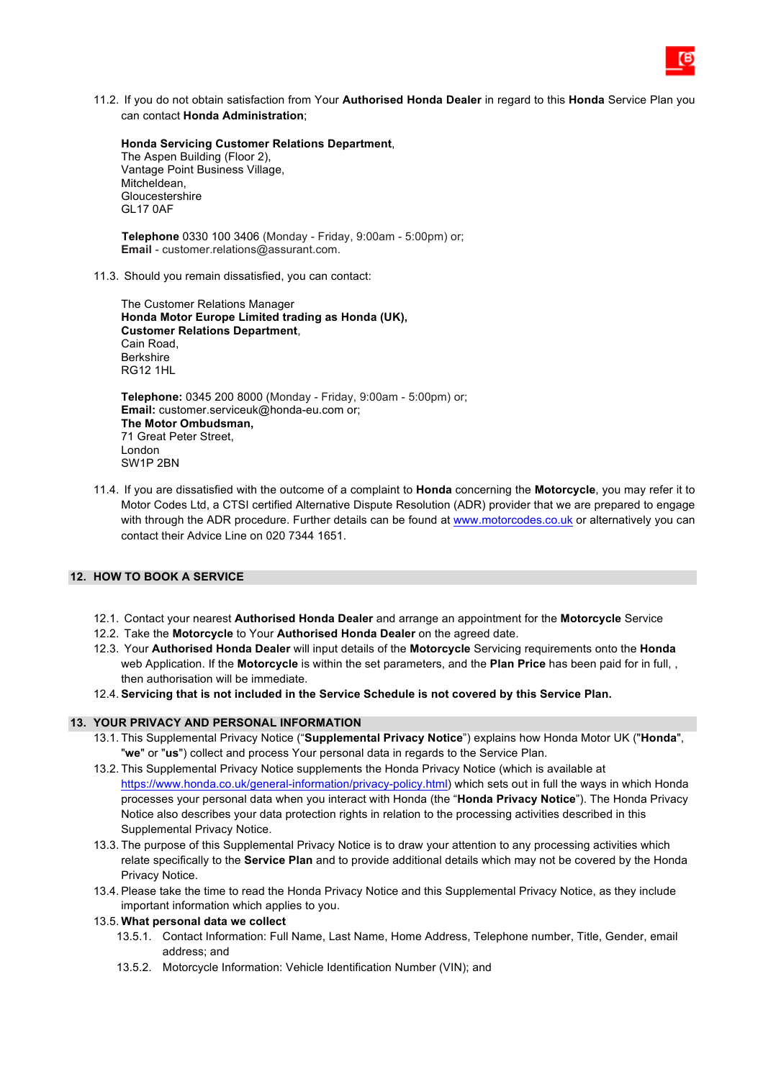11.2. If you do not obtain satisfaction from Your **Authorised Honda Dealer** in regard to this **Honda** Service Plan you can contact **Honda Administration**;

**Honda Servicing Customer Relations Department**, The Aspen Building (Floor 2), Vantage Point Business Village, Mitcheldean, Gloucestershire GL17 0AF

 **Telephone** 0330 100 3406 (Monday - Friday, 9:00am - 5:00pm) or; **Email** - customer.relations@assurant.com.

11.3. Should you remain dissatisfied, you can contact:

The Customer Relations Manager **Honda Motor Europe Limited trading as Honda (UK), Customer Relations Department**, Cain Road, Berkshire RG12 1HL

**Telephone:** 0345 200 8000 (Monday - Friday, 9:00am - 5:00pm) or; **Email:** customer.serviceuk@honda-eu.com or; **The Motor Ombudsman,**  71 Great Peter Street, London SW1P 2BN

11.4. If you are dissatisfied with the outcome of a complaint to **Honda** concerning the **Motorcycle**, you may refer it to Motor Codes Ltd, a CTSI certified Alternative Dispute Resolution (ADR) provider that we are prepared to engage with through the ADR procedure. Further details can be found at www.motorcodes.co.uk or alternatively you can contact their Advice Line on 020 7344 1651.

# **12. HOW TO BOOK A SERVICE**

- 12.1. Contact your nearest **Authorised Honda Dealer** and arrange an appointment for the **Motorcycle** Service
- 12.2. Take the **Motorcycle** to Your **Authorised Honda Dealer** on the agreed date.
- 12.3. Your **Authorised Honda Dealer** will input details of the **Motorcycle** Servicing requirements onto the **Honda** web Application. If the **Motorcycle** is within the set parameters, and the **Plan Price** has been paid for in full, , then authorisation will be immediate.
- 12.4. **Servicing that is not included in the Service Schedule is not covered by this Service Plan.**

# **13. YOUR PRIVACY AND PERSONAL INFORMATION**

- 13.1. This Supplemental Privacy Notice ("**Supplemental Privacy Notice**") explains how Honda Motor UK ("**Honda**", "**we**" or "**us**") collect and process Your personal data in regards to the Service Plan.
- 13.2. This Supplemental Privacy Notice supplements the Honda Privacy Notice (which is available at https://www.honda.co.uk/general-information/privacy-policy.html) which sets out in full the ways in which Honda processes your personal data when you interact with Honda (the "**Honda Privacy Notice**"). The Honda Privacy Notice also describes your data protection rights in relation to the processing activities described in this Supplemental Privacy Notice.
- 13.3. The purpose of this Supplemental Privacy Notice is to draw your attention to any processing activities which relate specifically to the **Service Plan** and to provide additional details which may not be covered by the Honda Privacy Notice.
- 13.4. Please take the time to read the Honda Privacy Notice and this Supplemental Privacy Notice, as they include important information which applies to you.

#### 13.5. **What personal data we collect**

- 13.5.1. Contact Information: Full Name, Last Name, Home Address, Telephone number, Title, Gender, email address; and
- 13.5.2. Motorcycle Information: Vehicle Identification Number (VIN); and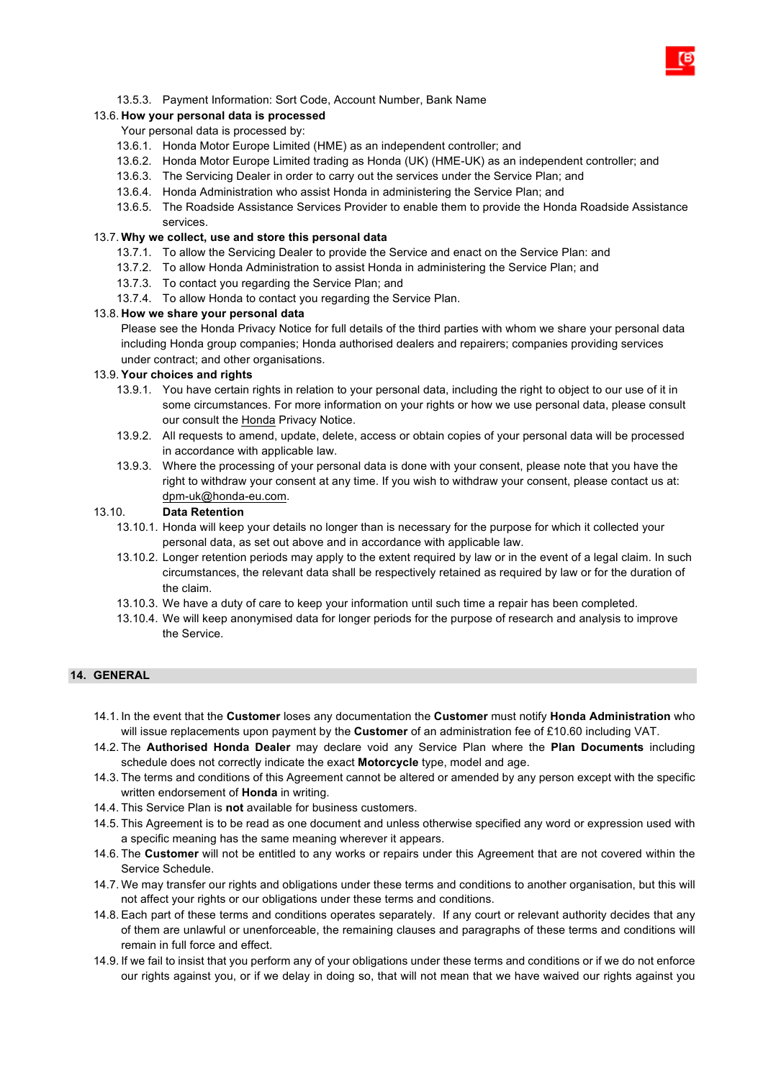# 13.5.3. Payment Information: Sort Code, Account Number, Bank Name

# 13.6. **How your personal data is processed**

## Your personal data is processed by:

- 13.6.1. Honda Motor Europe Limited (HME) as an independent controller; and
- 13.6.2. Honda Motor Europe Limited trading as Honda (UK) (HME-UK) as an independent controller; and
- 13.6.3. The Servicing Dealer in order to carry out the services under the Service Plan; and
- 13.6.4. Honda Administration who assist Honda in administering the Service Plan; and
- 13.6.5. The Roadside Assistance Services Provider to enable them to provide the Honda Roadside Assistance services.

# 13.7. **Why we collect, use and store this personal data**

- 13.7.1. To allow the Servicing Dealer to provide the Service and enact on the Service Plan: and
- 13.7.2. To allow Honda Administration to assist Honda in administering the Service Plan; and
- 13.7.3. To contact you regarding the Service Plan; and
- 13.7.4. To allow Honda to contact you regarding the Service Plan.

# 13.8. **How we share your personal data**

Please see the Honda Privacy Notice for full details of the third parties with whom we share your personal data including Honda group companies; Honda authorised dealers and repairers; companies providing services under contract; and other organisations.

## 13.9. **Your choices and rights**

- 13.9.1. You have certain rights in relation to your personal data, including the right to object to our use of it in some circumstances. For more information on your rights or how we use personal data, please consult our consult the Honda Privacy Notice.
- 13.9.2. All requests to amend, update, delete, access or obtain copies of your personal data will be processed in accordance with applicable law.
- 13.9.3. Where the processing of your personal data is done with your consent, please note that you have the right to withdraw your consent at any time. If you wish to withdraw your consent, please contact us at: dpm-uk@honda-eu.com.

## 13.10. **Data Retention**

- 13.10.1. Honda will keep your details no longer than is necessary for the purpose for which it collected your personal data, as set out above and in accordance with applicable law.
- 13.10.2. Longer retention periods may apply to the extent required by law or in the event of a legal claim. In such circumstances, the relevant data shall be respectively retained as required by law or for the duration of the claim.
- 13.10.3. We have a duty of care to keep your information until such time a repair has been completed.
- 13.10.4. We will keep anonymised data for longer periods for the purpose of research and analysis to improve the Service.

## **14. GENERAL**

- 14.1. In the event that the **Customer** loses any documentation the **Customer** must notify **Honda Administration** who will issue replacements upon payment by the **Customer** of an administration fee of £10.60 including VAT.
- 14.2. The **Authorised Honda Dealer** may declare void any Service Plan where the **Plan Documents** including schedule does not correctly indicate the exact **Motorcycle** type, model and age.
- 14.3. The terms and conditions of this Agreement cannot be altered or amended by any person except with the specific written endorsement of **Honda** in writing.
- 14.4. This Service Plan is **not** available for business customers.
- 14.5. This Agreement is to be read as one document and unless otherwise specified any word or expression used with a specific meaning has the same meaning wherever it appears.
- 14.6. The **Customer** will not be entitled to any works or repairs under this Agreement that are not covered within the Service Schedule.
- 14.7. We may transfer our rights and obligations under these terms and conditions to another organisation, but this will not affect your rights or our obligations under these terms and conditions.
- 14.8. Each part of these terms and conditions operates separately. If any court or relevant authority decides that any of them are unlawful or unenforceable, the remaining clauses and paragraphs of these terms and conditions will remain in full force and effect.
- 14.9. If we fail to insist that you perform any of your obligations under these terms and conditions or if we do not enforce our rights against you, or if we delay in doing so, that will not mean that we have waived our rights against you